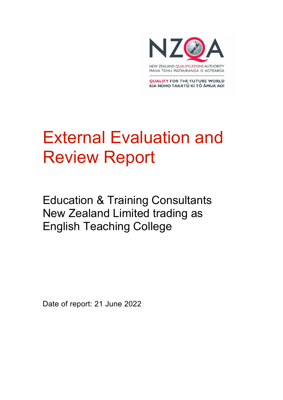

**QUALIFY FOR THE FUTURE WORLD** KIA NOHO TAKATŪ KI TŌ ĀMUA AO!

# External Evaluation and Review Report

Education & Training Consultants New Zealand Limited trading as English Teaching College

Date of report: 21 June 2022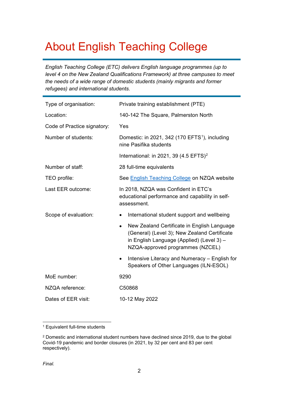## About English Teaching College

*English Teaching College (ETC) delivers English language programmes (up to level 4 on the New Zealand Qualifications Framework) at three campuses to meet the needs of a wide range of domestic students (mainly migrants and former refugees) and international students.* 

| Type of organisation:       | Private training establishment (PTE)                                                                                                                                         |
|-----------------------------|------------------------------------------------------------------------------------------------------------------------------------------------------------------------------|
| Location:                   | 140-142 The Square, Palmerston North                                                                                                                                         |
| Code of Practice signatory: | Yes                                                                                                                                                                          |
| Number of students:         | Domestic: in 2021, 342 (170 EFTS <sup>1</sup> ), including<br>nine Pasifika students                                                                                         |
|                             | International: in 2021, 39 (4.5 EFTS) <sup>2</sup>                                                                                                                           |
| Number of staff:            | 28 full-time equivalents                                                                                                                                                     |
| TEO profile:                | See English Teaching College on NZQA website                                                                                                                                 |
| Last EER outcome:           | In 2018, NZQA was Confident in ETC's<br>educational performance and capability in self-<br>assessment.                                                                       |
| Scope of evaluation:        | International student support and wellbeing<br>$\bullet$                                                                                                                     |
|                             | New Zealand Certificate in English Language<br>(General) (Level 3); New Zealand Certificate<br>in English Language (Applied) (Level 3) -<br>NZQA-approved programmes (NZCEL) |
|                             | Intensive Literacy and Numeracy - English for<br>$\bullet$<br>Speakers of Other Languages (ILN-ESOL)                                                                         |
| MoE number:                 | 9290                                                                                                                                                                         |
| NZQA reference:             | C50868                                                                                                                                                                       |
| Dates of EER visit:         | 10-12 May 2022                                                                                                                                                               |

<span id="page-1-0"></span><sup>1</sup> Equivalent full-time students

<span id="page-1-1"></span><sup>2</sup> Domestic and international student numbers have declined since 2019, due to the global Covid-19 pandemic and border closures (in 2021, by 32 per cent and 83 per cent respectively).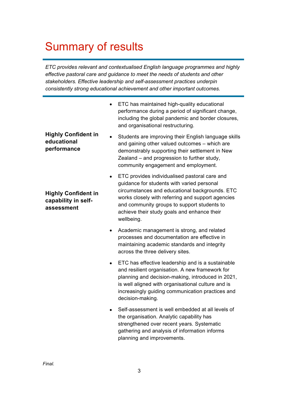## Summary of results

*ETC provides relevant and contextualised English language programmes and highly effective pastoral care and guidance to meet the needs of students and other stakeholders. Effective leadership and self-assessment practices underpin consistently strong educational achievement and other important outcomes.* 

|                                                                 | ETC has maintained high-quality educational<br>performance during a period of significant change,<br>including the global pandemic and border closures,<br>and organisational restructuring.                                                                                                                                |
|-----------------------------------------------------------------|-----------------------------------------------------------------------------------------------------------------------------------------------------------------------------------------------------------------------------------------------------------------------------------------------------------------------------|
| <b>Highly Confident in</b><br>educational<br>performance        | Students are improving their English language skills<br>and gaining other valued outcomes - which are<br>demonstrably supporting their settlement in New<br>Zealand - and progression to further study,<br>community engagement and employment.                                                                             |
| <b>Highly Confident in</b><br>capability in self-<br>assessment | ETC provides individualised pastoral care and<br>$\bullet$<br>guidance for students with varied personal<br>circumstances and educational backgrounds. ETC<br>works closely with referring and support agencies<br>and community groups to support students to<br>achieve their study goals and enhance their<br>wellbeing. |
|                                                                 | Academic management is strong, and related<br>processes and documentation are effective in<br>maintaining academic standards and integrity<br>across the three delivery sites.                                                                                                                                              |
|                                                                 | ETC has effective leadership and is a sustainable<br>and resilient organisation. A new framework for<br>planning and decision-making, introduced in 2021,<br>is well aligned with organisational culture and is<br>increasingly guiding communication practices and<br>decision-making.                                     |
|                                                                 | Self-assessment is well embedded at all levels of<br>the organisation. Analytic capability has<br>strengthened over recent years. Systematic<br>gathering and analysis of information informs<br>planning and improvements.                                                                                                 |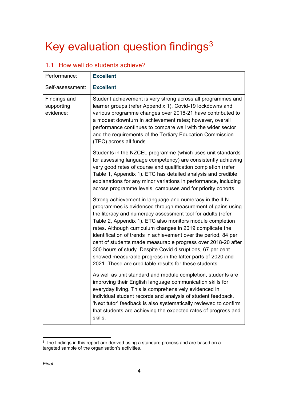## Key evaluation question findings<sup>[3](#page-3-0)</sup>

| Performance:                            | <b>Excellent</b>                                                                                                                                                                                                                                                                                                                                                                                                                                                                                                                                                                                                                       |
|-----------------------------------------|----------------------------------------------------------------------------------------------------------------------------------------------------------------------------------------------------------------------------------------------------------------------------------------------------------------------------------------------------------------------------------------------------------------------------------------------------------------------------------------------------------------------------------------------------------------------------------------------------------------------------------------|
| Self-assessment:                        | <b>Excellent</b>                                                                                                                                                                                                                                                                                                                                                                                                                                                                                                                                                                                                                       |
| Findings and<br>supporting<br>evidence: | Student achievement is very strong across all programmes and<br>learner groups (refer Appendix 1). Covid-19 lockdowns and<br>various programme changes over 2018-21 have contributed to<br>a modest downturn in achievement rates; however, overall<br>performance continues to compare well with the wider sector<br>and the requirements of the Tertiary Education Commission<br>(TEC) across all funds.                                                                                                                                                                                                                             |
|                                         | Students in the NZCEL programme (which uses unit standards<br>for assessing language competency) are consistently achieving<br>very good rates of course and qualification completion (refer<br>Table 1, Appendix 1). ETC has detailed analysis and credible<br>explanations for any minor variations in performance, including<br>across programme levels, campuses and for priority cohorts.                                                                                                                                                                                                                                         |
|                                         | Strong achievement in language and numeracy in the ILN<br>programmes is evidenced through measurement of gains using<br>the literacy and numeracy assessment tool for adults (refer<br>Table 2, Appendix 1). ETC also monitors module completion<br>rates. Although curriculum changes in 2019 complicate the<br>identification of trends in achievement over the period, 84 per<br>cent of students made measurable progress over 2018-20 after<br>300 hours of study. Despite Covid disruptions, 67 per cent<br>showed measurable progress in the latter parts of 2020 and<br>2021. These are creditable results for these students. |
|                                         | As well as unit standard and module completion, students are<br>improving their English language communication skills for<br>everyday living. This is comprehensively evidenced in<br>individual student records and analysis of student feedback.<br>'Next tutor' feedback is also systematically reviewed to confirm<br>that students are achieving the expected rates of progress and<br>skills.                                                                                                                                                                                                                                    |

#### 1.1 How well do students achieve?

<span id="page-3-0"></span><sup>&</sup>lt;sup>3</sup> The findings in this report are derived using a standard process and are based on a targeted sample of the organisation's activities.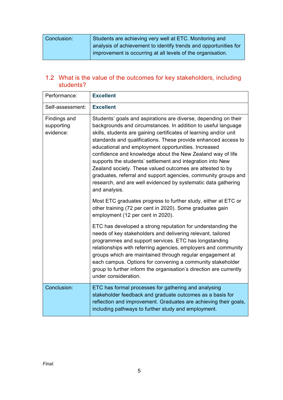| Conclusion: | Students are achieving very well at ETC. Monitoring and          |
|-------------|------------------------------------------------------------------|
|             | analysis of achievement to identify trends and opportunities for |
|             | improvement is occurring at all levels of the organisation.      |

### 1.2 What is the value of the outcomes for key stakeholders, including students?

| Performance:                            | <b>Excellent</b>                                                                                                                                                                                                                                                                                                                                                                                                                                                                                                                                                                                                                                                            |
|-----------------------------------------|-----------------------------------------------------------------------------------------------------------------------------------------------------------------------------------------------------------------------------------------------------------------------------------------------------------------------------------------------------------------------------------------------------------------------------------------------------------------------------------------------------------------------------------------------------------------------------------------------------------------------------------------------------------------------------|
| Self-assessment:                        | <b>Excellent</b>                                                                                                                                                                                                                                                                                                                                                                                                                                                                                                                                                                                                                                                            |
| Findings and<br>supporting<br>evidence: | Students' goals and aspirations are diverse, depending on their<br>backgrounds and circumstances. In addition to useful language<br>skills, students are gaining certificates of learning and/or unit<br>standards and qualifications. These provide enhanced access to<br>educational and employment opportunities. Increased<br>confidence and knowledge about the New Zealand way of life<br>supports the students' settlement and integration into New<br>Zealand society. These valued outcomes are attested to by<br>graduates, referral and support agencies, community groups and<br>research, and are well evidenced by systematic data gathering<br>and analysis. |
|                                         | Most ETC graduates progress to further study, either at ETC or<br>other training (72 per cent in 2020). Some graduates gain<br>employment (12 per cent in 2020).                                                                                                                                                                                                                                                                                                                                                                                                                                                                                                            |
|                                         | ETC has developed a strong reputation for understanding the<br>needs of key stakeholders and delivering relevant, tailored<br>programmes and support services. ETC has longstanding<br>relationships with referring agencies, employers and community<br>groups which are maintained through regular engagement at<br>each campus. Options for convening a community stakeholder<br>group to further inform the organisation's direction are currently<br>under consideration.                                                                                                                                                                                              |
| Conclusion:                             | ETC has formal processes for gathering and analysing<br>stakeholder feedback and graduate outcomes as a basis for<br>reflection and improvement. Graduates are achieving their goals,<br>including pathways to further study and employment.                                                                                                                                                                                                                                                                                                                                                                                                                                |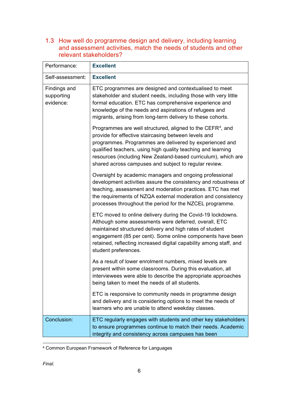1.3 How well do programme design and delivery, including learning and assessment activities, match the needs of students and other relevant stakeholders?

| Performance:                            | <b>Excellent</b>                                                                                                                                                                                                                                                                                                                                                                    |
|-----------------------------------------|-------------------------------------------------------------------------------------------------------------------------------------------------------------------------------------------------------------------------------------------------------------------------------------------------------------------------------------------------------------------------------------|
| Self-assessment:                        | <b>Excellent</b>                                                                                                                                                                                                                                                                                                                                                                    |
| Findings and<br>supporting<br>evidence: | ETC programmes are designed and contextualised to meet<br>stakeholder and student needs, including those with very little<br>formal education. ETC has comprehensive experience and<br>knowledge of the needs and aspirations of refugees and<br>migrants, arising from long-term delivery to these cohorts.                                                                        |
|                                         | Programmes are well structured, aligned to the CEFR <sup>4</sup> , and<br>provide for effective staircasing between levels and<br>programmes. Programmes are delivered by experienced and<br>qualified teachers, using high quality teaching and learning<br>resources (including New Zealand-based curriculum), which are<br>shared across campuses and subject to regular review. |
|                                         | Oversight by academic managers and ongoing professional<br>development activities assure the consistency and robustness of<br>teaching, assessment and moderation practices. ETC has met<br>the requirements of NZQA external moderation and consistency<br>processes throughout the period for the NZCEL programme.                                                                |
|                                         | ETC moved to online delivery during the Covid-19 lockdowns.<br>Although some assessments were deferred, overall, ETC<br>maintained structured delivery and high rates of student<br>engagement (85 per cent). Some online components have been<br>retained, reflecting increased digital capability among staff, and<br>student preferences.                                        |
|                                         | As a result of lower enrolment numbers, mixed levels are<br>present within some classrooms. During this evaluation, all<br>interviewees were able to describe the appropriate approaches<br>being taken to meet the needs of all students.                                                                                                                                          |
|                                         | ETC is responsive to community needs in programme design<br>and delivery and is considering options to meet the needs of<br>learners who are unable to attend weekday classes.                                                                                                                                                                                                      |
| Conclusion:                             | ETC regularly engages with students and other key stakeholders<br>to ensure programmes continue to match their needs. Academic<br>integrity and consistency across campuses has been                                                                                                                                                                                                |

<span id="page-5-0"></span><sup>4</sup> Common European Framework of Reference for Languages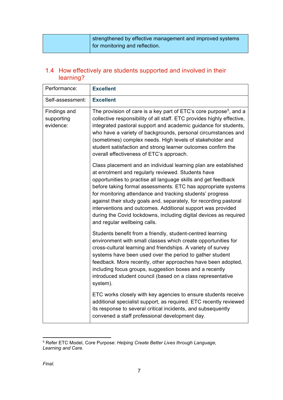| strengthened by effective management and improved systems |
|-----------------------------------------------------------|
| of for monitoring and reflection.                         |

#### 1.4 How effectively are students supported and involved in their learning?

| Performance:                            | <b>Excellent</b>                                                                                                                                                                                                                                                                                                                                                                                                                                                                                                                                               |
|-----------------------------------------|----------------------------------------------------------------------------------------------------------------------------------------------------------------------------------------------------------------------------------------------------------------------------------------------------------------------------------------------------------------------------------------------------------------------------------------------------------------------------------------------------------------------------------------------------------------|
| Self-assessment:                        | <b>Excellent</b>                                                                                                                                                                                                                                                                                                                                                                                                                                                                                                                                               |
| Findings and<br>supporting<br>evidence: | The provision of care is a key part of ETC's core purpose <sup>5</sup> , and a<br>collective responsibility of all staff. ETC provides highly effective,<br>integrated pastoral support and academic guidance for students,<br>who have a variety of backgrounds, personal circumstances and<br>(sometimes) complex needs. High levels of stakeholder and<br>student satisfaction and strong learner outcomes confirm the<br>overall effectiveness of ETC's approach.                                                                                          |
|                                         | Class placement and an individual learning plan are established<br>at enrolment and regularly reviewed. Students have<br>opportunities to practise all language skills and get feedback<br>before taking formal assessments. ETC has appropriate systems<br>for monitoring attendance and tracking students' progress<br>against their study goals and, separately, for recording pastoral<br>interventions and outcomes. Additional support was provided<br>during the Covid lockdowns, including digital devices as required<br>and regular wellbeing calls. |
|                                         | Students benefit from a friendly, student-centred learning<br>environment with small classes which create opportunities for<br>cross-cultural learning and friendships. A variety of survey<br>systems have been used over the period to gather student<br>feedback. More recently, other approaches have been adopted,<br>including focus groups, suggestion boxes and a recently<br>introduced student council (based on a class representative<br>system).                                                                                                  |
|                                         | ETC works closely with key agencies to ensure students receive<br>additional specialist support, as required. ETC recently reviewed<br>its response to several critical incidents, and subsequently<br>convened a staff professional development day.                                                                                                                                                                                                                                                                                                          |

<span id="page-6-0"></span><sup>5</sup> Refer ETC Model, Core Purpose: *Helping Create Better Lives through Language, Learning and Care.*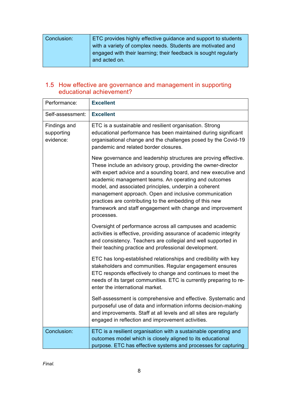| Conclusion: | ETC provides highly effective guidance and support to students  |
|-------------|-----------------------------------------------------------------|
|             | with a variety of complex needs. Students are motivated and     |
|             | engaged with their learning; their feedback is sought regularly |
|             | and acted on.                                                   |
|             |                                                                 |

#### 1.5 How effective are governance and management in supporting educational achievement?

| Performance:                            | <b>Excellent</b>                                                                                                                                                                                                                                                                                                                                                                                                                                                                                                    |
|-----------------------------------------|---------------------------------------------------------------------------------------------------------------------------------------------------------------------------------------------------------------------------------------------------------------------------------------------------------------------------------------------------------------------------------------------------------------------------------------------------------------------------------------------------------------------|
| Self-assessment:                        | <b>Excellent</b>                                                                                                                                                                                                                                                                                                                                                                                                                                                                                                    |
| Findings and<br>supporting<br>evidence: | ETC is a sustainable and resilient organisation. Strong<br>educational performance has been maintained during significant<br>organisational change and the challenges posed by the Covid-19<br>pandemic and related border closures.                                                                                                                                                                                                                                                                                |
|                                         | New governance and leadership structures are proving effective.<br>These include an advisory group, providing the owner-director<br>with expert advice and a sounding board, and new executive and<br>academic management teams. An operating and outcomes<br>model, and associated principles, underpin a coherent<br>management approach. Open and inclusive communication<br>practices are contributing to the embedding of this new<br>framework and staff engagement with change and improvement<br>processes. |
|                                         | Oversight of performance across all campuses and academic<br>activities is effective, providing assurance of academic integrity<br>and consistency. Teachers are collegial and well supported in<br>their teaching practice and professional development.                                                                                                                                                                                                                                                           |
|                                         | ETC has long-established relationships and credibility with key<br>stakeholders and communities. Regular engagement ensures<br>ETC responds effectively to change and continues to meet the<br>needs of its target communities. ETC is currently preparing to re-<br>enter the international market.                                                                                                                                                                                                                |
|                                         | Self-assessment is comprehensive and effective. Systematic and<br>purposeful use of data and information informs decision-making<br>and improvements. Staff at all levels and all sites are regularly<br>engaged in reflection and improvement activities.                                                                                                                                                                                                                                                          |
| Conclusion:                             | ETC is a resilient organisation with a sustainable operating and<br>outcomes model which is closely aligned to its educational<br>purpose. ETC has effective systems and processes for capturing                                                                                                                                                                                                                                                                                                                    |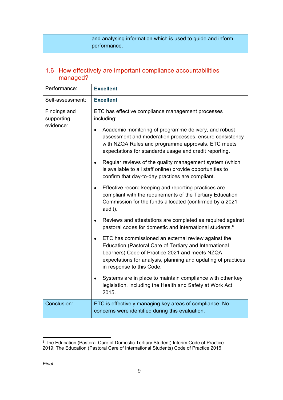| and analysing information which is used to guide and inform |
|-------------------------------------------------------------|
| performance.                                                |

#### 1.6 How effectively are important compliance accountabilities managed?

| Performance:                            | <b>Excellent</b>                                                                                                                                                                                                                                                                                                                                                                                                                                                                                                                                                                                                                                                                                                                                                                                                                                                                                                                                                                                                                                                                                                                                                                                                      |
|-----------------------------------------|-----------------------------------------------------------------------------------------------------------------------------------------------------------------------------------------------------------------------------------------------------------------------------------------------------------------------------------------------------------------------------------------------------------------------------------------------------------------------------------------------------------------------------------------------------------------------------------------------------------------------------------------------------------------------------------------------------------------------------------------------------------------------------------------------------------------------------------------------------------------------------------------------------------------------------------------------------------------------------------------------------------------------------------------------------------------------------------------------------------------------------------------------------------------------------------------------------------------------|
| Self-assessment:                        | <b>Excellent</b>                                                                                                                                                                                                                                                                                                                                                                                                                                                                                                                                                                                                                                                                                                                                                                                                                                                                                                                                                                                                                                                                                                                                                                                                      |
| Findings and<br>supporting<br>evidence: | ETC has effective compliance management processes<br>including:<br>Academic monitoring of programme delivery, and robust<br>assessment and moderation processes, ensure consistency<br>with NZQA Rules and programme approvals. ETC meets<br>expectations for standards usage and credit reporting.<br>Regular reviews of the quality management system (which<br>is available to all staff online) provide opportunities to<br>confirm that day-to-day practices are compliant.<br>Effective record keeping and reporting practices are<br>compliant with the requirements of the Tertiary Education<br>Commission for the funds allocated (confirmed by a 2021<br>audit).<br>Reviews and attestations are completed as required against<br>pastoral codes for domestic and international students. <sup>6</sup><br>ETC has commissioned an external review against the<br>Education (Pastoral Care of Tertiary and International<br>Learners) Code of Practice 2021 and meets NZQA<br>expectations for analysis, planning and updating of practices<br>in response to this Code.<br>Systems are in place to maintain compliance with other key<br>legislation, including the Health and Safety at Work Act<br>2015. |
| Conclusion:                             | ETC is effectively managing key areas of compliance. No<br>concerns were identified during this evaluation.                                                                                                                                                                                                                                                                                                                                                                                                                                                                                                                                                                                                                                                                                                                                                                                                                                                                                                                                                                                                                                                                                                           |

<span id="page-8-0"></span><sup>6</sup> The Education (Pastoral Care of Domestic Tertiary Student) Interim Code of Practice 2019; The Education (Pastoral Care of International Students) Code of Practice 2016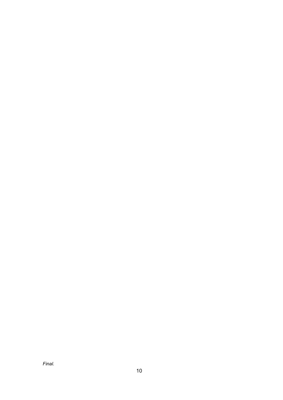*Final.*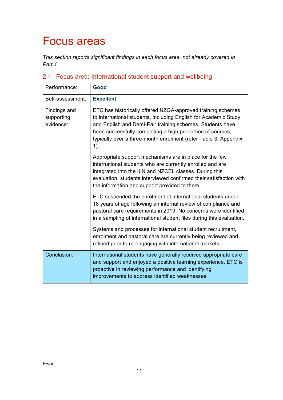## Focus areas

*This section reports significant findings in each focus area, not already covered in Part 1.* 

| Performance:                                   | Good                                                                                                                                                                                                                                                                                                                                   |
|------------------------------------------------|----------------------------------------------------------------------------------------------------------------------------------------------------------------------------------------------------------------------------------------------------------------------------------------------------------------------------------------|
| Self-assessment:                               | <b>Excellent</b>                                                                                                                                                                                                                                                                                                                       |
| <b>Findings and</b><br>supporting<br>evidence: | ETC has historically offered NZQA-approved training schemes<br>to international students, including English for Academic Study<br>and English and Demi-Pair training schemes. Students have<br>been successfully completing a high proportion of courses,<br>typically over a three-month enrolment (refer Table 3, Appendix<br>$1$ ). |
|                                                | Appropriate support mechanisms are in place for the few<br>international students who are currently enrolled and are<br>integrated into the ILN and NZCEL classes. During this<br>evaluation, students interviewed confirmed their satisfaction with<br>the information and support provided to them.                                  |
|                                                | ETC suspended the enrolment of international students under<br>18 years of age following an internal review of compliance and<br>pastoral care requirements in 2019. No concerns were identified<br>in a sampling of international student files during this evaluation.                                                               |
|                                                | Systems and processes for international student recruitment,<br>enrolment and pastoral care are currently being reviewed and<br>refined prior to re-engaging with international markets.                                                                                                                                               |
| Conclusion:                                    | International students have generally received appropriate care<br>and support and enjoyed a positive learning experience. ETC is<br>proactive in reviewing performance and identifying<br>improvements to address identified weaknesses.                                                                                              |

### 2.1 Focus area: International student support and wellbeing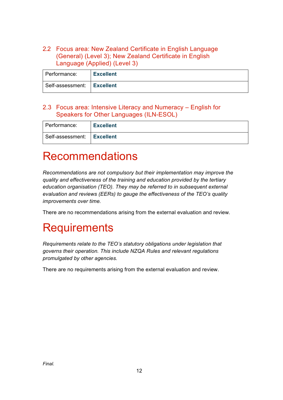2.2 Focus area: New Zealand Certificate in English Language (General) (Level 3); New Zealand Certificate in English Language (Applied) (Level 3)

| l Performance:               | <b>Excellent</b> |
|------------------------------|------------------|
| Self-assessment:   Excellent |                  |

#### 2.3 Focus area: Intensive Literacy and Numeracy – English for Speakers for Other Languages (ILN-ESOL)

| l Performance:               | <b>Excellent</b> |
|------------------------------|------------------|
| Self-assessment:   Excellent |                  |

## Recommendations

*Recommendations are not compulsory but their implementation may improve the quality and effectiveness of the training and education provided by the tertiary education organisation (TEO). They may be referred to in subsequent external evaluation and reviews (EERs) to gauge the effectiveness of the TEO's quality improvements over time.*

There are no recommendations arising from the external evaluation and review.

## **Requirements**

*Requirements relate to the TEO's statutory obligations under legislation that governs their operation. This include NZQA Rules and relevant regulations promulgated by other agencies.*

There are no requirements arising from the external evaluation and review.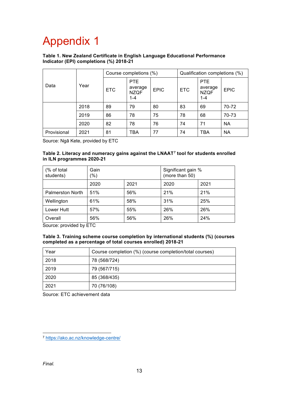## Appendix 1

#### **Table 1. New Zealand Certificate in English Language Educational Performance Indicator (EPI) completions (%) 2018-21**

| Data        | Year | Course completions (%) |                                          |             | Qualification completions (%) |                                                 |             |
|-------------|------|------------------------|------------------------------------------|-------------|-------------------------------|-------------------------------------------------|-------------|
|             |      | ETC                    | PTE<br>average<br><b>NZQF</b><br>$1 - 4$ | <b>EPIC</b> | <b>ETC</b>                    | <b>PTE</b><br>average<br><b>NZQF</b><br>$1 - 4$ | <b>EPIC</b> |
|             | 2018 | 89                     | 79                                       | 80          | 83                            | 69                                              | 70-72       |
|             | 2019 | 86                     | 78                                       | 75          | 78                            | 68                                              | 70-73       |
|             | 2020 | 82                     | 78                                       | 76          | 74                            | 71                                              | <b>NA</b>   |
| Provisional | 2021 | 81                     | TBA                                      | 77          | 74                            | TBA                                             | <b>NA</b>   |

Source: Ngā Kete, provided by ETC

#### **Table 2. Literacy and numeracy gains against the LNAAT[7](#page-12-0) tool for students enrolled in ILN programmes 2020-21**

| (% of total<br>students) | Gain<br>$(\% )$ |      | Significant gain %<br>(more than 50) |      |  |
|--------------------------|-----------------|------|--------------------------------------|------|--|
|                          | 2020            | 2021 | 2020                                 | 2021 |  |
| <b>Palmerston North</b>  | 51%             | 56%  | 21%                                  | 21%  |  |
| Wellington               | 61%             | 58%  | 31%                                  | 25%  |  |
| Lower Hutt               | 57%             | 55%  | 26%                                  | 26%  |  |
| Overall                  | 56%             | 56%  | 26%                                  | 24%  |  |

Source: provided by ETC

#### **Table 3. Training scheme course completion by international students (%) (courses completed as a percentage of total courses enrolled) 2018-21**

| Year | Course completion (%) (course completion/total courses) |
|------|---------------------------------------------------------|
| 2018 | 78 (568/724)                                            |
| 2019 | 79 (567/715)                                            |
| 2020 | 85 (368/435)                                            |
| 2021 | 70 (76/108)                                             |

Source: ETC achievement data

<span id="page-12-0"></span><sup>7</sup> <https://ako.ac.nz/knowledge-centre/>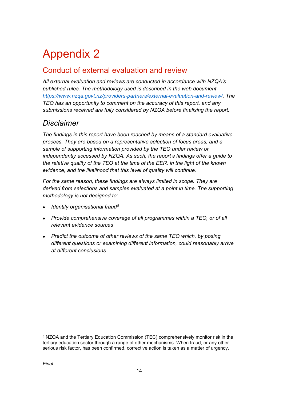## Appendix 2

## Conduct of external evaluation and review

*All external evaluation and reviews are conducted in accordance with NZQA's published rules. The methodology used is described in the web document [https://www.nzqa.govt.nz/providers-partners/external-evaluation-and-review/.](https://www.nzqa.govt.nz/providers-partners/external-evaluation-and-review/) The TEO has an opportunity to comment on the accuracy of this report, and any submissions received are fully considered by NZQA before finalising the report.*

## *Disclaimer*

*The findings in this report have been reached by means of a standard evaluative process. They are based on a representative selection of focus areas, and a sample of supporting information provided by the TEO under review or independently accessed by NZQA. As such, the report's findings offer a guide to the relative quality of the TEO at the time of the EER, in the light of the known evidence, and the likelihood that this level of quality will continue.* 

*For the same reason, these findings are always limited in scope. They are derived from selections and samples evaluated at a point in time. The supporting methodology is not designed to:*

- *Identify organisational fraud[8](#page-13-0)*
- *Provide comprehensive coverage of all programmes within a TEO, or of all relevant evidence sources*
- *Predict the outcome of other reviews of the same TEO which, by posing different questions or examining different information, could reasonably arrive at different conclusions.*

<span id="page-13-0"></span><sup>8</sup> NZQA and the Tertiary Education Commission (TEC) comprehensively monitor risk in the tertiary education sector through a range of other mechanisms. When fraud, or any other serious risk factor, has been confirmed, corrective action is taken as a matter of urgency.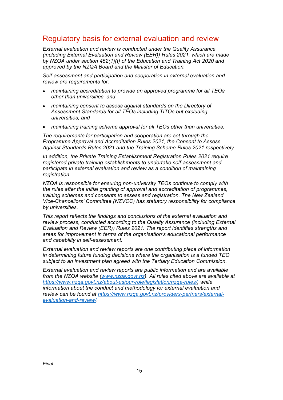### Regulatory basis for external evaluation and review

*External evaluation and review is conducted under the Quality Assurance (including External Evaluation and Review (EER)) Rules 2021, which are made by NZQA under section 452(1)(t) of the Education and Training Act 2020 and approved by the NZQA Board and the Minister of Education.*

*Self-assessment and participation and cooperation in external evaluation and review are requirements for:*

- *maintaining accreditation to provide an approved programme for all TEOs other than universities, and*
- *maintaining consent to assess against standards on the Directory of Assessment Standards for all TEOs including TITOs but excluding universities, and*
- *maintaining training scheme approval for all TEOs other than universities.*

*The requirements for participation and cooperation are set through the Programme Approval and Accreditation Rules 2021, the Consent to Assess Against Standards Rules 2021 and the Training Scheme Rules 2021 respectively.* 

*In addition, the Private Training Establishment Registration Rules 2021 require registered private training establishments to undertake self-assessment and participate in external evaluation and review as a condition of maintaining registration.* 

*NZQA is responsible for ensuring non-university TEOs continue to comply with the rules after the initial granting of approval and accreditation of programmes, training schemes and consents to assess and registration. The New Zealand Vice-Chancellors' Committee (NZVCC) has statutory responsibility for compliance by universities.* 

*This report reflects the findings and conclusions of the external evaluation and review process, conducted according to the Quality Assurance (including External Evaluation and Review (EER)) Rules 2021. The report identifies strengths and areas for improvement in terms of the organisation's educational performance and capability in self-assessment.* 

*External evaluation and review reports are one contributing piece of information in determining future funding decisions where the organisation is a funded TEO subject to an investment plan agreed with the Tertiary Education Commission.* 

*External evaluation and review reports are public information and are available from the NZQA website [\(www.nzqa.govt.nz\)](http://www.nzqa.govt.nz/). All rules cited above are available at [https://www.nzqa.govt.nz/about-us/our-role/legislation/nzqa-rules/,](https://www.nzqa.govt.nz/about-us/our-role/legislation/nzqa-rules/) while information about the conduct and methodology for external evaluation and review can be found at [https://www.nzqa.govt.nz/providers-partners/external](https://www.nzqa.govt.nz/providers-partners/external-evaluation-and-review/)[evaluation-and-review/.](https://www.nzqa.govt.nz/providers-partners/external-evaluation-and-review/)*